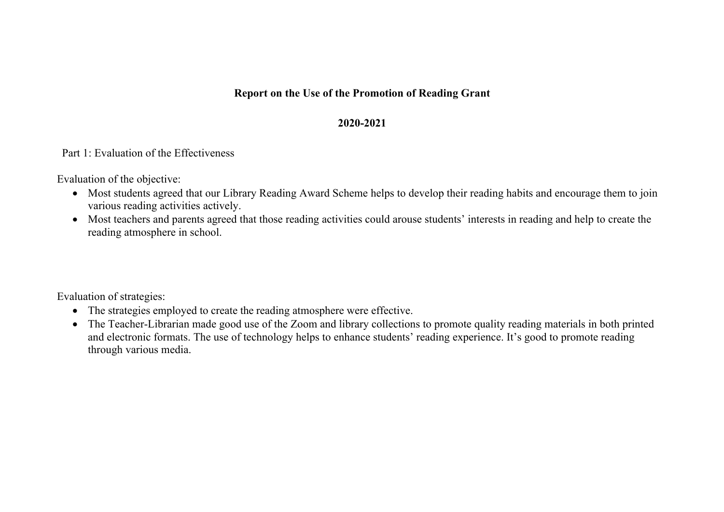## **Report on the Use of the Promotion of Reading Grant**

## **2020-2021**

## Part 1: Evaluation of the Effectiveness

Evaluation of the objective:

- Most students agreed that our Library Reading Award Scheme helps to develop their reading habits and encourage them to join various reading activities actively.
- Most teachers and parents agreed that those reading activities could arouse students' interests in reading and help to create the reading atmosphere in school.

Evaluation of strategies:

- The strategies employed to create the reading atmosphere were effective.
- The Teacher-Librarian made good use of the Zoom and library collections to promote quality reading materials in both printed and electronic formats. The use of technology helps to enhance students' reading experience. It's good to promote reading through various media.